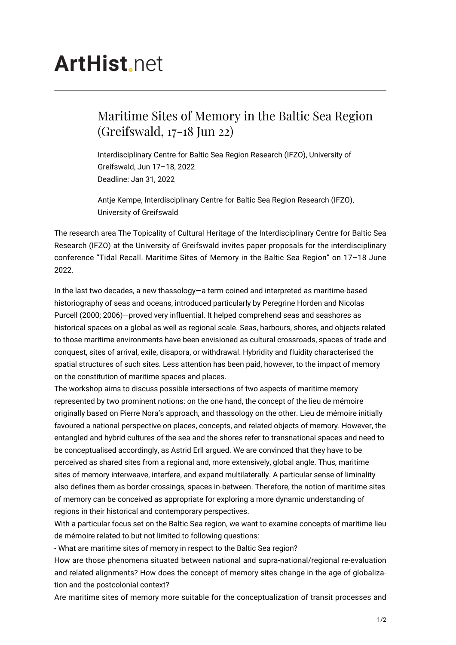## **ArtHist** net

## Maritime Sites of Memory in the Baltic Sea Region (Greifswald, 17-18 Jun 22)

Interdisciplinary Centre for Baltic Sea Region Research (IFZO), University of Greifswald, Jun 17–18, 2022 Deadline: Jan 31, 2022

Antje Kempe, Interdisciplinary Centre for Baltic Sea Region Research (IFZO), University of Greifswald

The research area The Topicality of Cultural Heritage of the Interdisciplinary Centre for Baltic Sea Research (IFZO) at the University of Greifswald invites paper proposals for the interdisciplinary conference "Tidal Recall. Maritime Sites of Memory in the Baltic Sea Region" on 17–18 June 2022.

In the last two decades, a new thassology—a term coined and interpreted as maritime-based historiography of seas and oceans, introduced particularly by Peregrine Horden and Nicolas Purcell (2000; 2006)—proved very influential. It helped comprehend seas and seashores as historical spaces on a global as well as regional scale. Seas, harbours, shores, and objects related to those maritime environments have been envisioned as cultural crossroads, spaces of trade and conquest, sites of arrival, exile, disapora, or withdrawal. Hybridity and fluidity characterised the spatial structures of such sites. Less attention has been paid, however, to the impact of memory on the constitution of maritime spaces and places.

The workshop aims to discuss possible intersections of two aspects of maritime memory represented by two prominent notions: on the one hand, the concept of the lieu de mémoire originally based on Pierre Nora's approach, and thassology on the other. Lieu de mémoire initially favoured a national perspective on places, concepts, and related objects of memory. However, the entangled and hybrid cultures of the sea and the shores refer to transnational spaces and need to be conceptualised accordingly, as Astrid Erll argued. We are convinced that they have to be perceived as shared sites from a regional and, more extensively, global angle. Thus, maritime sites of memory interweave, interfere, and expand multilaterally. A particular sense of liminality also defines them as border crossings, spaces in-between. Therefore, the notion of maritime sites of memory can be conceived as appropriate for exploring a more dynamic understanding of regions in their historical and contemporary perspectives.

With a particular focus set on the Baltic Sea region, we want to examine concepts of maritime lieu de mémoire related to but not limited to following questions:

- What are maritime sites of memory in respect to the Baltic Sea region?

How are those phenomena situated between national and supra-national/regional re-evaluation and related alignments? How does the concept of memory sites change in the age of globalization and the postcolonial context?

Are maritime sites of memory more suitable for the conceptualization of transit processes and